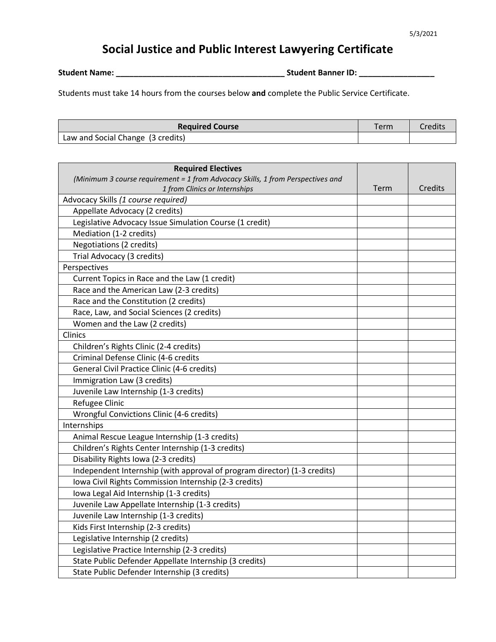## **Social Justice and Public Interest Lawyering Certificate**

**Student Name: \_\_\_\_\_\_\_\_\_\_\_\_\_\_\_\_\_\_\_\_\_\_\_\_\_\_\_\_\_\_\_\_\_\_\_\_\_\_ Student Banner ID: \_\_\_\_\_\_\_\_\_\_\_\_\_\_\_\_\_**

Students must take 14 hours from the courses below **and** complete the Public Service Certificate.

| <b>Required Course</b>            | Term | Credits |
|-----------------------------------|------|---------|
| Law and Social Change (3 credits) |      |         |

| <b>Required Electives</b><br>(Minimum 3 course requirement = 1 from Advocacy Skills, 1 from Perspectives and |      |         |
|--------------------------------------------------------------------------------------------------------------|------|---------|
| 1 from Clinics or Internships                                                                                | Term | Credits |
| Advocacy Skills (1 course required)                                                                          |      |         |
| Appellate Advocacy (2 credits)                                                                               |      |         |
| Legislative Advocacy Issue Simulation Course (1 credit)                                                      |      |         |
| Mediation (1-2 credits)                                                                                      |      |         |
| Negotiations (2 credits)                                                                                     |      |         |
| Trial Advocacy (3 credits)                                                                                   |      |         |
| Perspectives                                                                                                 |      |         |
| Current Topics in Race and the Law (1 credit)                                                                |      |         |
| Race and the American Law (2-3 credits)                                                                      |      |         |
| Race and the Constitution (2 credits)                                                                        |      |         |
| Race, Law, and Social Sciences (2 credits)                                                                   |      |         |
| Women and the Law (2 credits)                                                                                |      |         |
| Clinics                                                                                                      |      |         |
| Children's Rights Clinic (2-4 credits)                                                                       |      |         |
| Criminal Defense Clinic (4-6 credits                                                                         |      |         |
| General Civil Practice Clinic (4-6 credits)                                                                  |      |         |
| Immigration Law (3 credits)                                                                                  |      |         |
| Juvenile Law Internship (1-3 credits)                                                                        |      |         |
| Refugee Clinic                                                                                               |      |         |
| Wrongful Convictions Clinic (4-6 credits)                                                                    |      |         |
| Internships                                                                                                  |      |         |
| Animal Rescue League Internship (1-3 credits)                                                                |      |         |
| Children's Rights Center Internship (1-3 credits)                                                            |      |         |
| Disability Rights Iowa (2-3 credits)                                                                         |      |         |
| Independent Internship (with approval of program director) (1-3 credits)                                     |      |         |
| Iowa Civil Rights Commission Internship (2-3 credits)                                                        |      |         |
| Iowa Legal Aid Internship (1-3 credits)                                                                      |      |         |
| Juvenile Law Appellate Internship (1-3 credits)                                                              |      |         |
| Juvenile Law Internship (1-3 credits)                                                                        |      |         |
| Kids First Internship (2-3 credits)                                                                          |      |         |
| Legislative Internship (2 credits)                                                                           |      |         |
| Legislative Practice Internship (2-3 credits)                                                                |      |         |
| State Public Defender Appellate Internship (3 credits)                                                       |      |         |
| State Public Defender Internship (3 credits)                                                                 |      |         |